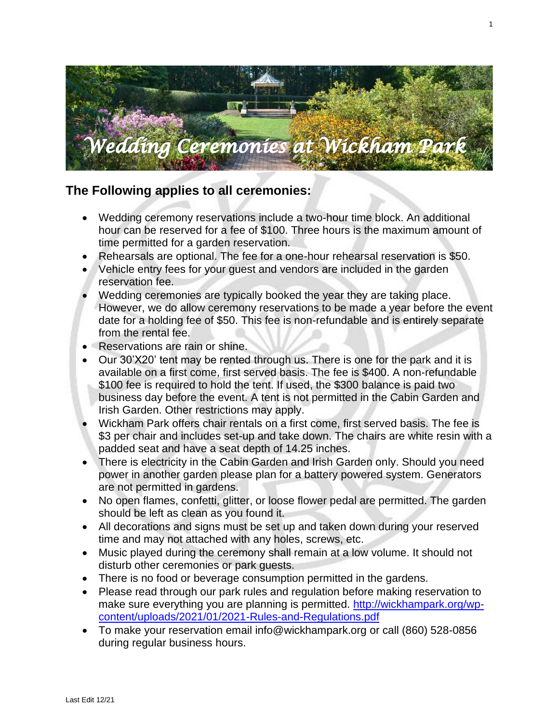

# **The Following applies to all ceremonies:**

- Wedding ceremony reservations include a two-hour time block. An additional hour can be reserved for a fee of \$100. Three hours is the maximum amount of time permitted for a garden reservation.
- Rehearsals are optional. The fee for a one-hour rehearsal reservation is \$50.
- Vehicle entry fees for your guest and vendors are included in the garden reservation fee.
- Wedding ceremonies are typically booked the year they are taking place. However, we do allow ceremony reservations to be made a year before the event date for a holding fee of \$50. This fee is non-refundable and is entirely separate from the rental fee.
- Reservations are rain or shine.
- Our 30'X20' tent may be rented through us. There is one for the park and it is available on a first come, first served basis. The fee is \$400. A non-refundable \$100 fee is required to hold the tent. If used, the \$300 balance is paid two business day before the event. A tent is not permitted in the Cabin Garden and Irish Garden. Other restrictions may apply.
- Wickham Park offers chair rentals on a first come, first served basis. The fee is \$3 per chair and includes set-up and take down. The chairs are white resin with a padded seat and have a seat depth of 14.25 inches.
- There is electricity in the Cabin Garden and Irish Garden only. Should you need power in another garden please plan for a battery powered system. Generators are not permitted in gardens.
- No open flames, confetti, glitter, or loose flower pedal are permitted. The garden should be left as clean as you found it.
- All decorations and signs must be set up and taken down during your reserved time and may not attached with any holes, screws, etc.
- Music played during the ceremony shall remain at a low volume. It should not disturb other ceremonies or park guests.
- There is no food or beverage consumption permitted in the gardens.
- Please read through our park rules and regulation before making reservation to make sure everything you are planning is permitted. [http://wickhampark.org/wp](http://wickhampark.org/wp-content/uploads/2021/01/2021-Rules-and-Regulations.pdf)[content/uploads/2021/01/2021-Rules-and-Regulations.pdf](http://wickhampark.org/wp-content/uploads/2021/01/2021-Rules-and-Regulations.pdf)
- To make your reservation email [info@wickhampark.org](mailto:info@wickhampark.org) or call (860) 528-0856 during regular business hours.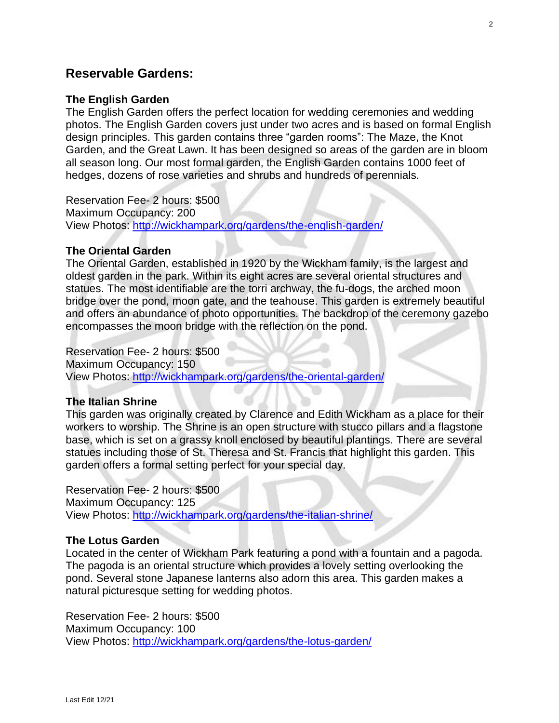# **Reservable Gardens:**

## **The English Garden**

The English Garden offers the perfect location for wedding ceremonies and wedding photos. The English Garden covers just under two acres and is based on formal English design principles. This garden contains three "garden rooms": The Maze, the Knot Garden, and the Great Lawn. It has been designed so areas of the garden are in bloom all season long. Our most formal garden, the English Garden contains 1000 feet of hedges, dozens of rose varieties and shrubs and hundreds of perennials.

Reservation Fee- 2 hours: \$500 Maximum Occupancy: 200 View Photos:<http://wickhampark.org/gardens/the-english-garden/>

#### **The Oriental Garden**

The Oriental Garden, established in 1920 by the Wickham family, is the largest and oldest garden in the park. Within its eight acres are several oriental structures and statues. The most identifiable are the torri archway, the fu-dogs, the arched moon bridge over the pond, moon gate, and the teahouse. This garden is extremely beautiful and offers an abundance of photo opportunities. The backdrop of the ceremony gazebo encompasses the moon bridge with the reflection on the pond.

Reservation Fee- 2 hours: \$500 Maximum Occupancy: 150 View Photos:<http://wickhampark.org/gardens/the-oriental-garden/>

## **The Italian Shrine**

This garden was originally created by Clarence and Edith Wickham as a place for their workers to worship. The Shrine is an open structure with stucco pillars and a flagstone base, which is set on a grassy knoll enclosed by beautiful plantings. There are several statues including those of St. Theresa and St. Francis that highlight this garden. This garden offers a formal setting perfect for your special day.

Reservation Fee- 2 hours: \$500 Maximum Occupancy: 125 View Photos:<http://wickhampark.org/gardens/the-italian-shrine/>

#### **The Lotus Garden**

Located in the center of Wickham Park featuring a pond with a fountain and a pagoda. The pagoda is an oriental structure which provides a lovely setting overlooking the pond. Several stone Japanese lanterns also adorn this area. This garden makes a natural picturesque setting for wedding photos.

Reservation Fee- 2 hours: \$500 Maximum Occupancy: 100 View Photos:<http://wickhampark.org/gardens/the-lotus-garden/>